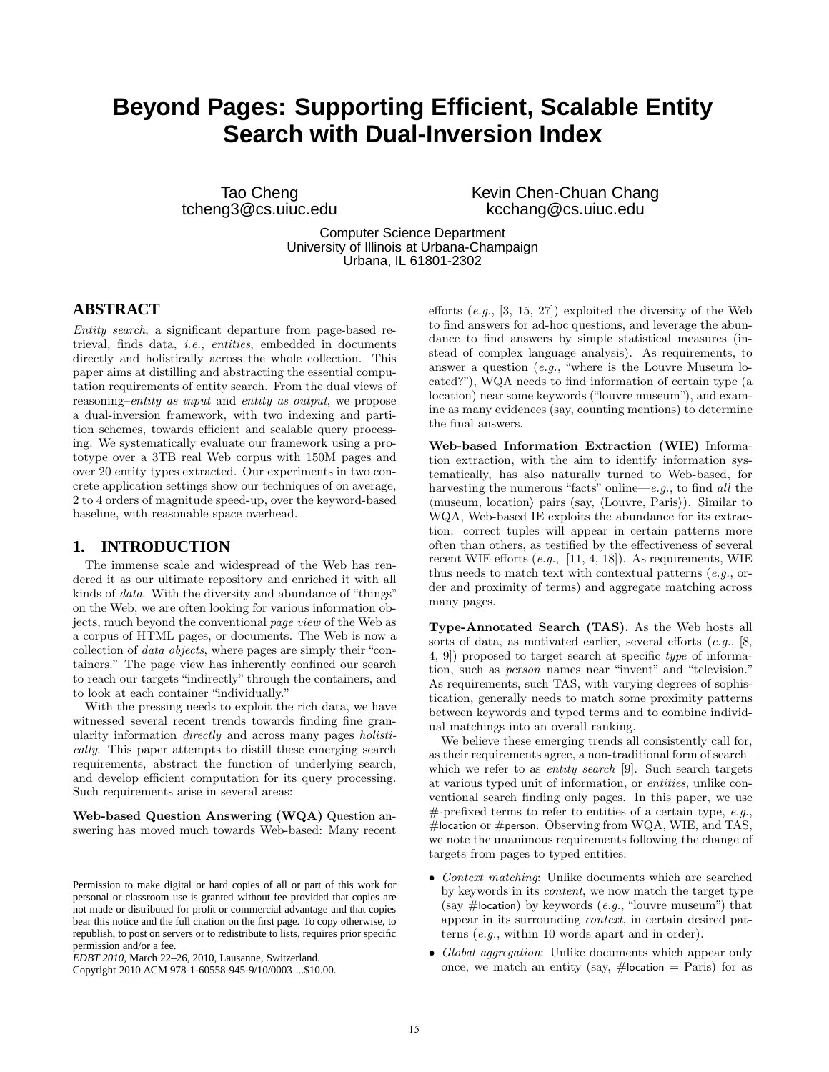# **Beyond Pages: Supporting Efficient, Scalable Entity Search with Dual-Inversion Index**

Tao Cheng tcheng3@cs.uiuc.edu Kevin Chen-Chuan Chang kcchang@cs.uiuc.edu

Computer Science Department University of Illinois at Urbana-Champaign Urbana, IL 61801-2302

# **ABSTRACT**

Entity search, a significant departure from page-based retrieval, finds data, i.e., entities, embedded in documents directly and holistically across the whole collection. This paper aims at distilling and abstracting the essential computation requirements of entity search. From the dual views of reasoning–entity as input and entity as output, we propose a dual-inversion framework, with two indexing and partition schemes, towards efficient and scalable query processing. We systematically evaluate our framework using a prototype over a 3TB real Web corpus with 150M pages and over 20 entity types extracted. Our experiments in two concrete application settings show our techniques of on average, 2 to 4 orders of magnitude speed-up, over the keyword-based baseline, with reasonable space overhead.

# **1. INTRODUCTION**

The immense scale and widespread of the Web has rendered it as our ultimate repository and enriched it with all kinds of data. With the diversity and abundance of "things" on the Web, we are often looking for various information objects, much beyond the conventional page view of the Web as a corpus of HTML pages, or documents. The Web is now a collection of data objects, where pages are simply their "containers." The page view has inherently confined our search to reach our targets "indirectly" through the containers, and to look at each container "individually."

With the pressing needs to exploit the rich data, we have witnessed several recent trends towards finding fine granularity information directly and across many pages holistically. This paper attempts to distill these emerging search requirements, abstract the function of underlying search, and develop efficient computation for its query processing. Such requirements arise in several areas:

Web-based Question Answering (WQA) Question answering has moved much towards Web-based: Many recent

Copyright 2010 ACM 978-1-60558-945-9/10/0003 ...\$10.00.

efforts  $(e,q, [3, 15, 27])$  exploited the diversity of the Web to find answers for ad-hoc questions, and leverage the abundance to find answers by simple statistical measures (instead of complex language analysis). As requirements, to answer a question (e.g., "where is the Louvre Museum located?"), WQA needs to find information of certain type (a location) near some keywords ("louvre museum"), and examine as many evidences (say, counting mentions) to determine the final answers.

Web-based Information Extraction (WIE) Information extraction, with the aim to identify information systematically, has also naturally turned to Web-based, for harvesting the numerous "facts" online—e.g., to find all the  $\langle$  museum, location $\rangle$  pairs (say,  $\langle$  Louvre, Paris $\rangle$ ). Similar to WQA, Web-based IE exploits the abundance for its extraction: correct tuples will appear in certain patterns more often than others, as testified by the effectiveness of several recent WIE efforts  $(e.g., [11, 4, 18])$ . As requirements, WIE thus needs to match text with contextual patterns (e.g., order and proximity of terms) and aggregate matching across many pages.

Type-Annotated Search (TAS). As the Web hosts all sorts of data, as motivated earlier, several efforts (e.g., [8, 4, 9]) proposed to target search at specific type of information, such as person names near "invent" and "television." As requirements, such TAS, with varying degrees of sophistication, generally needs to match some proximity patterns between keywords and typed terms and to combine individual matchings into an overall ranking.

We believe these emerging trends all consistently call for, as their requirements agree, a non-traditional form of search which we refer to as *entity search* [9]. Such search targets at various typed unit of information, or entities, unlike conventional search finding only pages. In this paper, we use  $#$ -prefixed terms to refer to entities of a certain type, e.g., #location or #person. Observing from WQA, WIE, and TAS, we note the unanimous requirements following the change of targets from pages to typed entities:

- Context matching: Unlike documents which are searched by keywords in its content, we now match the target type (say #location) by keywords  $(e.g., "louvre museum")$  that appear in its surrounding context, in certain desired patterns (e.g., within 10 words apart and in order).
- Global aggregation: Unlike documents which appear only once, we match an entity (say,  $\#$ location = Paris) for as

Permission to make digital or hard copies of all or part of this work for personal or classroom use is granted without fee provided that copies are not made or distributed for profit or commercial advantage and that copies bear this notice and the full citation on the first page. To copy otherwise, to republish, to post on servers or to redistribute to lists, requires prior specific permission and/or a fee.

*EDBT 2010*, March 22–26, 2010, Lausanne, Switzerland.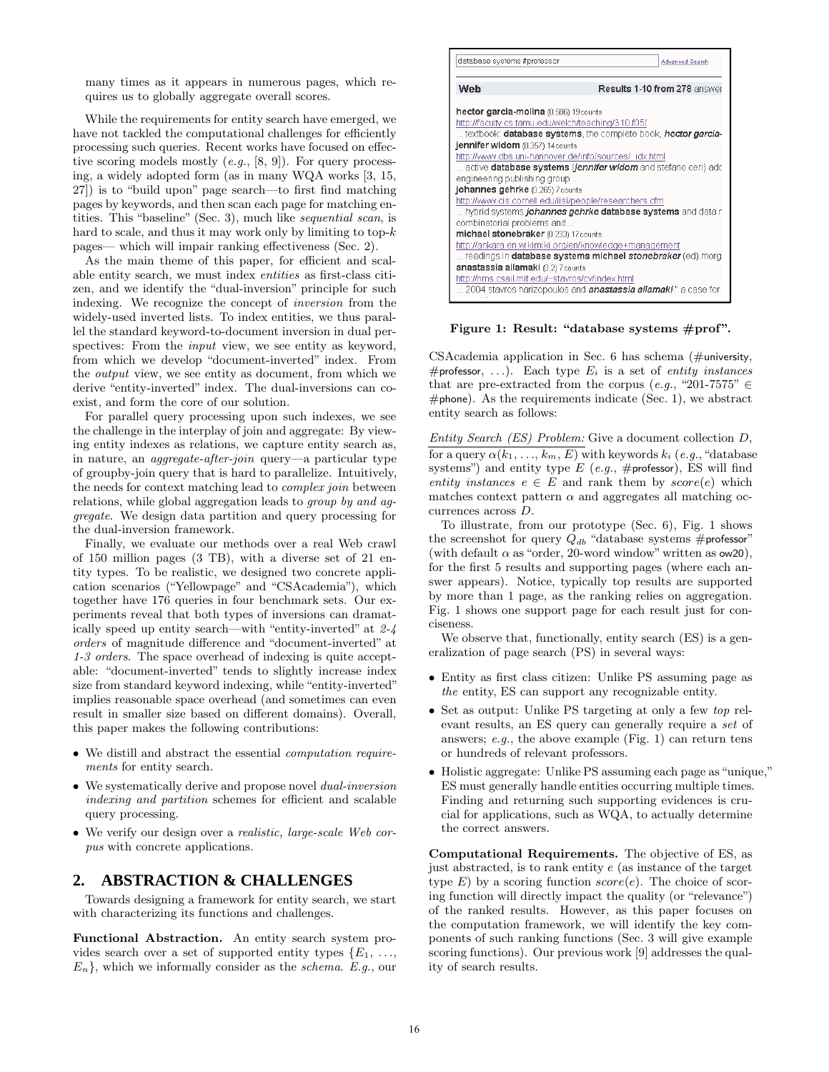many times as it appears in numerous pages, which requires us to globally aggregate overall scores.

While the requirements for entity search have emerged, we have not tackled the computational challenges for efficiently processing such queries. Recent works have focused on effective scoring models mostly  $(e.g., [8, 9])$ . For query processing, a widely adopted form (as in many WQA works [3, 15, 27]) is to "build upon" page search—to first find matching pages by keywords, and then scan each page for matching entities. This "baseline" (Sec. 3), much like sequential scan, is hard to scale, and thus it may work only by limiting to top- $k$ pages— which will impair ranking effectiveness (Sec. 2).

As the main theme of this paper, for efficient and scalable entity search, we must index entities as first-class citizen, and we identify the "dual-inversion" principle for such indexing. We recognize the concept of inversion from the widely-used inverted lists. To index entities, we thus parallel the standard keyword-to-document inversion in dual perspectives: From the *input* view, we see entity as keyword, from which we develop "document-inverted" index. From the output view, we see entity as document, from which we derive "entity-inverted" index. The dual-inversions can coexist, and form the core of our solution.

For parallel query processing upon such indexes, we see the challenge in the interplay of join and aggregate: By viewing entity indexes as relations, we capture entity search as, in nature, an aggregate-after-join query—a particular type of groupby-join query that is hard to parallelize. Intuitively, the needs for context matching lead to complex join between relations, while global aggregation leads to group by and aggregate. We design data partition and query processing for the dual-inversion framework.

Finally, we evaluate our methods over a real Web crawl of 150 million pages (3 TB), with a diverse set of 21 entity types. To be realistic, we designed two concrete application scenarios ("Yellowpage" and "CSAcademia"), which together have 176 queries in four benchmark sets. Our experiments reveal that both types of inversions can dramatically speed up entity search—with "entity-inverted" at 2-4 orders of magnitude difference and "document-inverted" at 1-3 orders. The space overhead of indexing is quite acceptable: "document-inverted" tends to slightly increase index size from standard keyword indexing, while "entity-inverted" implies reasonable space overhead (and sometimes can even result in smaller size based on different domains). Overall, this paper makes the following contributions:

- We distill and abstract the essential computation requirements for entity search.
- We systematically derive and propose novel dual-inversion indexing and partition schemes for efficient and scalable query processing.
- We verify our design over a *realistic*, *large-scale Web cor*pus with concrete applications.

# **2. ABSTRACTION & CHALLENGES**

Towards designing a framework for entity search, we start with characterizing its functions and challenges.

Functional Abstraction. An entity search system provides search over a set of supported entity types  $\{E_1, \ldots,$  $E_n$ , which we informally consider as the *schema.* E.g., our



Figure 1: Result: "database systems #prof".

CSAcademia application in Sec. 6 has schema (#university, #professor, ...). Each type  $E_i$  is a set of entity instances that are pre-extracted from the corpus (e.g., "201-7575"  $\in$  $#$ phone). As the requirements indicate (Sec. 1), we abstract entity search as follows:

Entity Search (ES) Problem: Give a document collection D, for a query  $\alpha(k_1, \ldots, k_m, E)$  with keywords  $k_i$  (e.g., "database systems") and entity type  $E$  (e.g., #professor), ES will find entity instances  $e \in E$  and rank them by  $score(e)$  which matches context pattern  $\alpha$  and aggregates all matching occurrences across D.

To illustrate, from our prototype (Sec. 6), Fig. 1 shows the screenshot for query  $Q_{db}$  "database systems #professor" (with default  $\alpha$  as "order, 20-word window" written as ow20), for the first 5 results and supporting pages (where each answer appears). Notice, typically top results are supported by more than 1 page, as the ranking relies on aggregation. Fig. 1 shows one support page for each result just for conciseness.

We observe that, functionally, entity search (ES) is a generalization of page search (PS) in several ways:

- Entity as first class citizen: Unlike PS assuming page as the entity, ES can support any recognizable entity.
- Set as output: Unlike PS targeting at only a few top relevant results, an ES query can generally require a set of answers; e.g., the above example (Fig. 1) can return tens or hundreds of relevant professors.
- Holistic aggregate: Unlike PS assuming each page as "unique," ES must generally handle entities occurring multiple times. Finding and returning such supporting evidences is crucial for applications, such as WQA, to actually determine the correct answers.

Computational Requirements. The objective of ES, as just abstracted, is to rank entity e (as instance of the target type  $E$ ) by a scoring function  $score(e)$ . The choice of scoring function will directly impact the quality (or "relevance") of the ranked results. However, as this paper focuses on the computation framework, we will identify the key components of such ranking functions (Sec. 3 will give example scoring functions). Our previous work [9] addresses the quality of search results.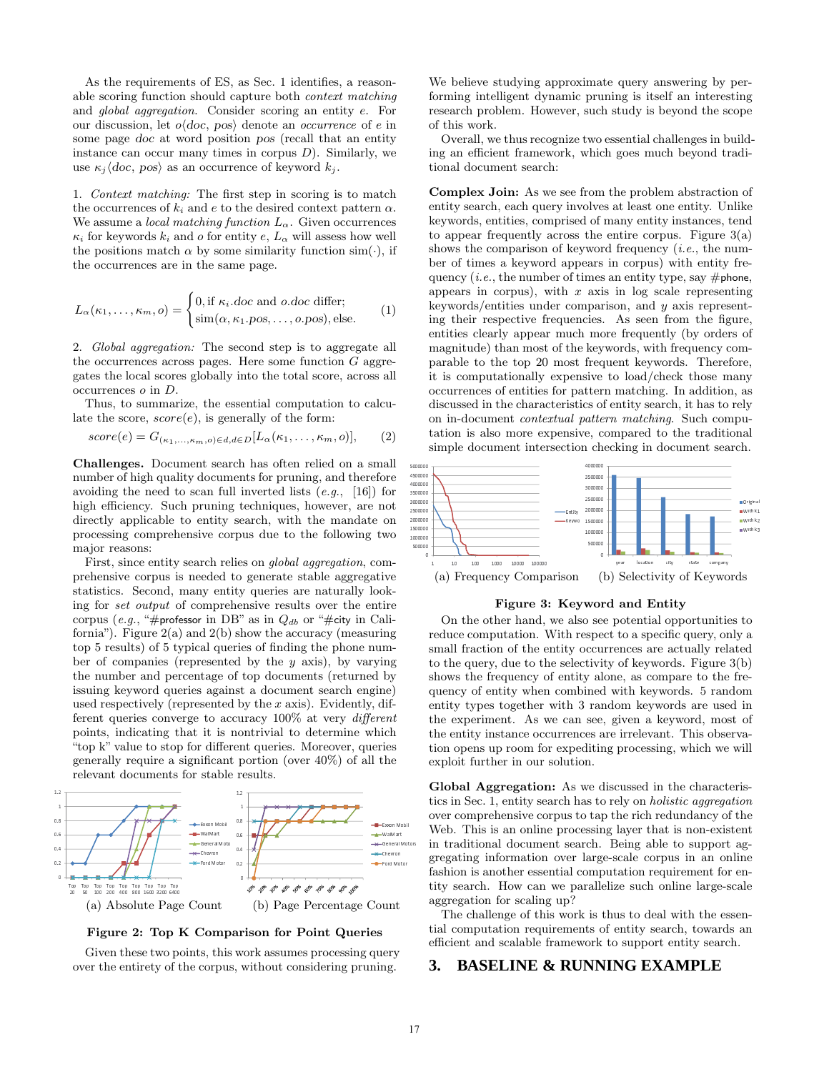As the requirements of ES, as Sec. 1 identifies, a reasonable scoring function should capture both context matching and global aggregation. Consider scoring an entity e. For our discussion, let  $o\langle doc, pos \rangle$  denote an *occurrence* of e in some page doc at word position pos (recall that an entity instance can occur many times in corpus  $D$ ). Similarly, we use  $\kappa_i \langle doc, pos \rangle$  as an occurrence of keyword  $k_i$ .

1. Context matching: The first step in scoring is to match the occurrences of  $k_i$  and  $e$  to the desired context pattern  $\alpha$ . We assume a *local matching function*  $L_{\alpha}$ . Given occurrences  $\kappa_i$  for keywords  $k_i$  and o for entity e,  $L_{\alpha}$  will assess how well the positions match  $\alpha$  by some similarity function sim( $\cdot$ ), if the occurrences are in the same page.

$$
L_{\alpha}(\kappa_1,\ldots,\kappa_m, o) = \begin{cases} 0, \text{if } \kappa_i \text{.doc and } o \text{.doc differ;} \\ \text{sim}(\alpha, \kappa_1 \text{.pos}, \ldots, o \text{.pos}), \text{else.} \end{cases} \tag{1}
$$

2. Global aggregation: The second step is to aggregate all the occurrences across pages. Here some function  $G$  aggregates the local scores globally into the total score, across all occurrences o in D.

Thus, to summarize, the essential computation to calculate the score,  $score(e)$ , is generally of the form:

$$
score(e) = G_{(\kappa_1,\ldots,\kappa_m,o) \in d, d \in D}[L_{\alpha}(\kappa_1,\ldots,\kappa_m,o)], \quad (2)
$$

Challenges. Document search has often relied on a small number of high quality documents for pruning, and therefore avoiding the need to scan full inverted lists  $(e.g., [16])$  for high efficiency. Such pruning techniques, however, are not directly applicable to entity search, with the mandate on processing comprehensive corpus due to the following two major reasons:

First, since entity search relies on global aggregation, comprehensive corpus is needed to generate stable aggregative statistics. Second, many entity queries are naturally looking for set output of comprehensive results over the entire corpus (e.g., "#professor in DB" as in  $Q_{db}$  or "#city in California"). Figure  $2(a)$  and  $2(b)$  show the accuracy (measuring top 5 results) of 5 typical queries of finding the phone number of companies (represented by the  $y$  axis), by varying the number and percentage of top documents (returned by issuing keyword queries against a document search engine) used respectively (represented by the  $x$  axis). Evidently, different queries converge to accuracy 100% at very different points, indicating that it is nontrivial to determine which "top k" value to stop for different queries. Moreover, queries generally require a significant portion (over 40%) of all the relevant documents for stable results.



Figure 2: Top K Comparison for Point Queries

Given these two points, this work assumes processing query over the entirety of the corpus, without considering pruning.

We believe studying approximate query answering by performing intelligent dynamic pruning is itself an interesting research problem. However, such study is beyond the scope of this work.

Overall, we thus recognize two essential challenges in building an efficient framework, which goes much beyond traditional document search:

Complex Join: As we see from the problem abstraction of entity search, each query involves at least one entity. Unlike keywords, entities, comprised of many entity instances, tend to appear frequently across the entire corpus. Figure  $3(a)$ shows the comparison of keyword frequency  $(i.e.,$  the number of times a keyword appears in corpus) with entity frequency (*i.e.*, the number of times an entity type, say  $\#$  phone, appears in corpus), with  $x$  axis in log scale representing keywords/entities under comparison, and y axis representing their respective frequencies. As seen from the figure, entities clearly appear much more frequently (by orders of magnitude) than most of the keywords, with frequency comparable to the top 20 most frequent keywords. Therefore, it is computationally expensive to load/check those many occurrences of entities for pattern matching. In addition, as discussed in the characteristics of entity search, it has to rely on in-document contextual pattern matching. Such computation is also more expensive, compared to the traditional simple document intersection checking in document search.



#### Figure 3: Keyword and Entity

On the other hand, we also see potential opportunities to reduce computation. With respect to a specific query, only a small fraction of the entity occurrences are actually related to the query, due to the selectivity of keywords. Figure 3(b) shows the frequency of entity alone, as compare to the frequency of entity when combined with keywords. 5 random entity types together with 3 random keywords are used in the experiment. As we can see, given a keyword, most of the entity instance occurrences are irrelevant. This observation opens up room for expediting processing, which we will exploit further in our solution.

Global Aggregation: As we discussed in the characteristics in Sec. 1, entity search has to rely on holistic aggregation over comprehensive corpus to tap the rich redundancy of the Web. This is an online processing layer that is non-existent in traditional document search. Being able to support aggregating information over large-scale corpus in an online fashion is another essential computation requirement for entity search. How can we parallelize such online large-scale aggregation for scaling up?

The challenge of this work is thus to deal with the essential computation requirements of entity search, towards an efficient and scalable framework to support entity search.

## **3. BASELINE & RUNNING EXAMPLE**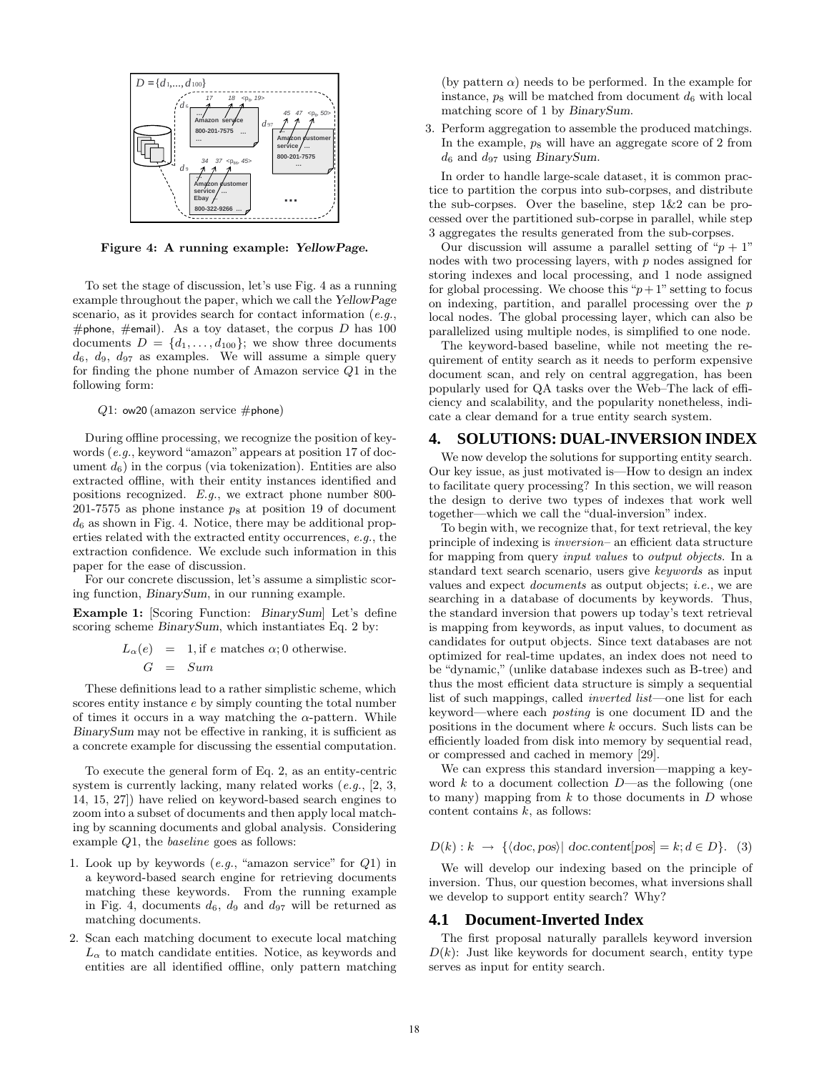

Figure 4: A running example: YellowPage.

To set the stage of discussion, let's use Fig. 4 as a running example throughout the paper, which we call the YellowPage scenario, as it provides search for contact information (e.g., #phone, #email). As a toy dataset, the corpus  $D$  has 100 documents  $D = \{d_1, \ldots, d_{100}\}$ ; we show three documents  $d_6$ ,  $d_9$ ,  $d_{97}$  as examples. We will assume a simple query for finding the phone number of Amazon service Q1 in the following form:

 $Q1:$  ow20 (amazon service #phone)

During offline processing, we recognize the position of keywords (e.g., keyword "amazon" appears at position 17 of document  $d_6$ ) in the corpus (via tokenization). Entities are also extracted offline, with their entity instances identified and positions recognized. E.g., we extract phone number 800- 201-7575 as phone instance  $p_8$  at position 19 of document  $d_6$  as shown in Fig. 4. Notice, there may be additional properties related with the extracted entity occurrences, e.g., the extraction confidence. We exclude such information in this paper for the ease of discussion.

For our concrete discussion, let's assume a simplistic scoring function, BinarySum, in our running example.

Example 1: [Scoring Function: BinarySum] Let's define scoring scheme BinarySum, which instantiates Eq. 2 by:

$$
L_{\alpha}(e) = 1, \text{if } e \text{ matches } \alpha; 0 \text{ otherwise.}
$$
  

$$
G = Sum
$$

These definitions lead to a rather simplistic scheme, which scores entity instance e by simply counting the total number of times it occurs in a way matching the  $\alpha$ -pattern. While BinarySum may not be effective in ranking, it is sufficient as a concrete example for discussing the essential computation.

To execute the general form of Eq. 2, as an entity-centric system is currently lacking, many related works  $(e.g., [2, 3,$ 14, 15, 27]) have relied on keyword-based search engines to zoom into a subset of documents and then apply local matching by scanning documents and global analysis. Considering example Q1, the baseline goes as follows:

- 1. Look up by keywords  $(e.g., "amazon service" for  $Q1$ ) in$ a keyword-based search engine for retrieving documents matching these keywords. From the running example in Fig. 4, documents  $d_6$ ,  $d_9$  and  $d_{97}$  will be returned as matching documents.
- 2. Scan each matching document to execute local matching  $L_{\alpha}$  to match candidate entities. Notice, as keywords and entities are all identified offline, only pattern matching

(by pattern  $\alpha$ ) needs to be performed. In the example for instance,  $p_8$  will be matched from document  $d_6$  with local matching score of 1 by BinarySum.

3. Perform aggregation to assemble the produced matchings. In the example,  $p_8$  will have an aggregate score of 2 from  $d_6$  and  $d_{97}$  using BinarySum.

In order to handle large-scale dataset, it is common practice to partition the corpus into sub-corpses, and distribute the sub-corpses. Over the baseline, step  $1\&2$  can be processed over the partitioned sub-corpse in parallel, while step 3 aggregates the results generated from the sub-corpses.

Our discussion will assume a parallel setting of " $p + 1$ " nodes with two processing layers, with  $p$  nodes assigned for storing indexes and local processing, and 1 node assigned for global processing. We choose this " $p+1$ " setting to focus on indexing, partition, and parallel processing over the p local nodes. The global processing layer, which can also be parallelized using multiple nodes, is simplified to one node.

The keyword-based baseline, while not meeting the requirement of entity search as it needs to perform expensive document scan, and rely on central aggregation, has been popularly used for QA tasks over the Web–The lack of efficiency and scalability, and the popularity nonetheless, indicate a clear demand for a true entity search system.

## **4. SOLUTIONS: DUAL-INVERSION INDEX**

We now develop the solutions for supporting entity search. Our key issue, as just motivated is—How to design an index to facilitate query processing? In this section, we will reason the design to derive two types of indexes that work well together—which we call the "dual-inversion" index.

To begin with, we recognize that, for text retrieval, the key principle of indexing is inversion– an efficient data structure for mapping from query input values to output objects. In a standard text search scenario, users give keywords as input values and expect documents as output objects; i.e., we are searching in a database of documents by keywords. Thus, the standard inversion that powers up today's text retrieval is mapping from keywords, as input values, to document as candidates for output objects. Since text databases are not optimized for real-time updates, an index does not need to be "dynamic," (unlike database indexes such as B-tree) and thus the most efficient data structure is simply a sequential list of such mappings, called inverted list—one list for each keyword—where each posting is one document ID and the positions in the document where k occurs. Such lists can be efficiently loaded from disk into memory by sequential read, or compressed and cached in memory [29].

We can express this standard inversion—mapping a keyword k to a document collection  $D$ —as the following (one to many) mapping from  $k$  to those documents in  $D$  whose content contains  $k$ , as follows:

 $D(k): k \rightarrow \{\langle doc, pos \rangle | doc content[pos] = k; d \in D\}.$  (3)

We will develop our indexing based on the principle of inversion. Thus, our question becomes, what inversions shall we develop to support entity search? Why?

## **4.1 Document-Inverted Index**

The first proposal naturally parallels keyword inversion  $D(k)$ : Just like keywords for document search, entity type serves as input for entity search.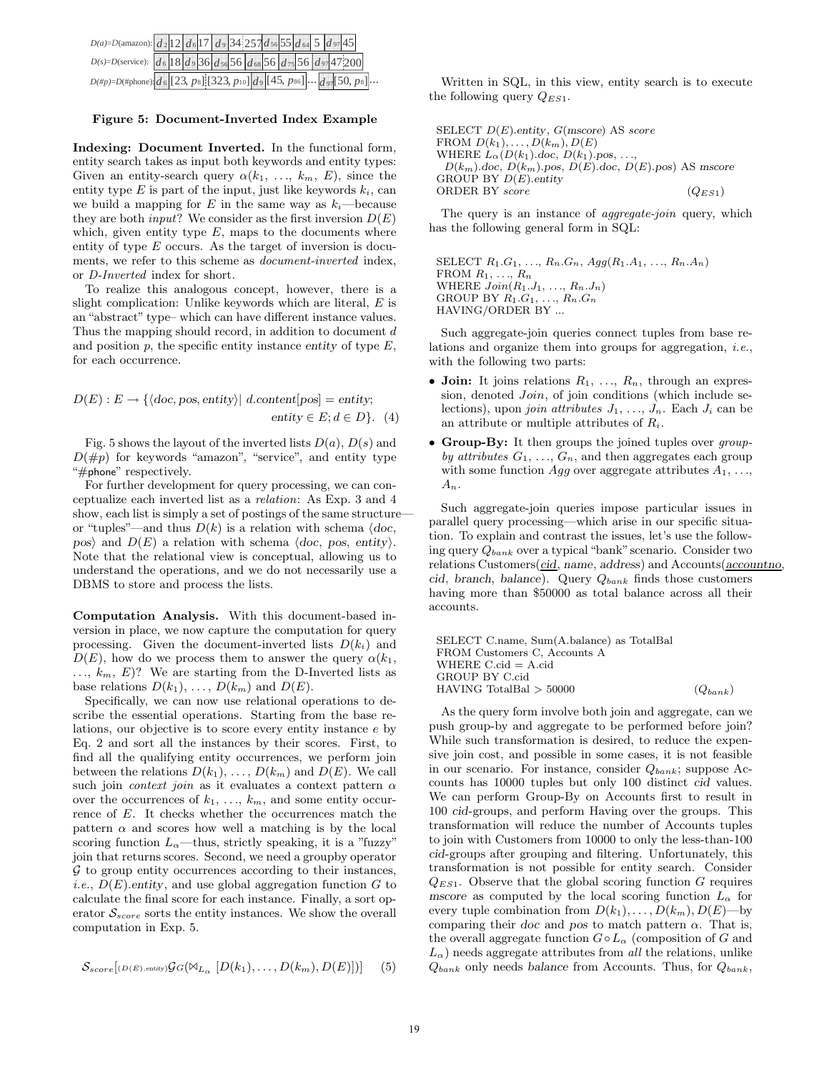| $D(a) = D(\text{amazon})$ : $d_2$ 12 $d_6$ 17 $d_9$ 34 257 $d_5$ 55 $d_6$ 4 5 $d_9$ 7 45           |  |  |  |  |  |  |  |
|----------------------------------------------------------------------------------------------------|--|--|--|--|--|--|--|
| $D(s) = D(\text{service})$ : $d_6$ 18 $d_9$ 36 $d_{56}$ 56 $d_{68}$ 56 $d_{75}$ 56 $d_{97}$ 47:200 |  |  |  |  |  |  |  |
| $D(\#p) = D(\#phone)$ $d_6$ [23, ps] [323, p10] $d_9$ [45, ps6] $d_{97}$ [50, ps]                  |  |  |  |  |  |  |  |

#### Figure 5: Document-Inverted Index Example

Indexing: Document Inverted. In the functional form, entity search takes as input both keywords and entity types: Given an entity-search query  $\alpha(k_1, \ldots, k_m, E)$ , since the entity type  $E$  is part of the input, just like keywords  $k_i$ , can we build a mapping for E in the same way as  $k_i$ —because they are both *input*? We consider as the first inversion  $D(E)$ which, given entity type  $E$ , maps to the documents where entity of type  $E$  occurs. As the target of inversion is documents, we refer to this scheme as document-inverted index, or D-Inverted index for short.

To realize this analogous concept, however, there is a slight complication: Unlike keywords which are literal,  $E$  is an "abstract" type– which can have different instance values. Thus the mapping should record, in addition to document d and position  $p$ , the specific entity instance entity of type  $E$ , for each occurrence.

$$
D(E): E \to \{ \langle \text{doc}, \text{pos}, \text{entity} \rangle | \ d.\text{content}[\text{pos}] = \text{entity};
$$
  
entity  $\in E; d \in D \}.$  (4)

Fig. 5 shows the layout of the inverted lists  $D(a)$ ,  $D(s)$  and  $D(\#p)$  for keywords "amazon", "service", and entity type "#phone" respectively.

For further development for query processing, we can conceptualize each inverted list as a relation: As Exp. 3 and 4 show, each list is simply a set of postings of the same structure or "tuples"—and thus  $D(k)$  is a relation with schema  $\langle doc, \rangle$ pos) and  $D(E)$  a relation with schema  $\langle doc, pos, entity \rangle$ . Note that the relational view is conceptual, allowing us to understand the operations, and we do not necessarily use a DBMS to store and process the lists.

Computation Analysis. With this document-based inversion in place, we now capture the computation for query processing. Given the document-inverted lists  $D(k_i)$  and  $D(E)$ , how do we process them to answer the query  $\alpha(k_1, k_2)$  $..., k_m, E$ ? We are starting from the D-Inverted lists as base relations  $D(k_1), \ldots, D(k_m)$  and  $D(E)$ .

Specifically, we can now use relational operations to describe the essential operations. Starting from the base relations, our objective is to score every entity instance e by Eq. 2 and sort all the instances by their scores. First, to find all the qualifying entity occurrences, we perform join between the relations  $D(k_1), \ldots, D(k_m)$  and  $D(E)$ . We call such join *context join* as it evaluates a context pattern  $\alpha$ over the occurrences of  $k_1, \ldots, k_m$ , and some entity occurrence of E. It checks whether the occurrences match the pattern  $\alpha$  and scores how well a matching is by the local scoring function  $L_{\alpha}$ —thus, strictly speaking, it is a "fuzzy" join that returns scores. Second, we need a groupby operator  $G$  to group entity occurrences according to their instances, *i.e.*,  $D(E)$ .entity, and use global aggregation function G to calculate the final score for each instance. Finally, a sort operator  $S_{score}$  sorts the entity instances. We show the overall computation in Exp. 5.

$$
\mathcal{S}_{score}[(D(E), \text{entity})\mathcal{G}G(\mathbb{M}_{L_{\alpha}}[D(k_1), \dots, D(k_m), D(E)])] (5)
$$

Written in SQL, in this view, entity search is to execute the following query  $Q_{ES1}$ .

SELECT  $D(E)$ .entity,  $G(mscore)$  AS score FROM  $D(k_1), \ldots, D(k_m), D(E)$ WHERE  $L_{\alpha}(D(k_1).doc, D(k_1).pos, ...)$ .  $D(k_m)$ .doc,  $D(k_m)$ .pos,  $D(E)$ .doc,  $D(E)$ .pos) AS mscore GROUP BY  $D(E)$ .entity ORDER BY score  $(Q_{ES1})$ 

The query is an instance of *aggregate-join* query, which has the following general form in SQL:

SELECT  $R_1.G_1, ..., R_n.G_n$ ,  $Agg(R_1.A_1, ..., R_n.A_n)$ FROM  $R_1, \ldots, R_n$ WHERE  $Join(R_1.J_1, \ldots, R_n.J_n)$ GROUP BY  $R_1.G_1, \ldots, R_n.G_n$ HAVING/ORDER BY ...

Such aggregate-join queries connect tuples from base relations and organize them into groups for aggregation, i.e., with the following two parts:

- Join: It joins relations  $R_1, \ldots, R_n$ , through an expression, denoted *Join*, of join conditions (which include selections), upon *join attributes*  $J_1, \ldots, J_n$ . Each  $J_i$  can be an attribute or multiple attributes of  $R_i$ .
- Group-By: It then groups the joined tuples over groupby attributes  $G_1, \ldots, G_n$ , and then aggregates each group with some function Agg over aggregate attributes  $A_1, \ldots,$  $A_n$ .

Such aggregate-join queries impose particular issues in parallel query processing—which arise in our specific situation. To explain and contrast the issues, let's use the following query  $Q_{bank}$  over a typical "bank" scenario. Consider two relations Customers(cid, name, address) and Accounts( $\frac{accountno}{}$ , cid, branch, balance). Query  $Q_{bank}$  finds those customers having more than \$50000 as total balance across all their accounts.

SELECT C.name, Sum(A.balance) as TotalBal FROM Customers C, Accounts A WHERE C.cid = A.cid GROUP BY C.cid HAVING TotalBal  $>$  50000 ( $Q_{bank}$ )

As the query form involve both join and aggregate, can we push group-by and aggregate to be performed before join? While such transformation is desired, to reduce the expensive join cost, and possible in some cases, it is not feasible in our scenario. For instance, consider  $Q_{bank}$ ; suppose Accounts has 10000 tuples but only 100 distinct cid values. We can perform Group-By on Accounts first to result in 100 cid-groups, and perform Having over the groups. This transformation will reduce the number of Accounts tuples to join with Customers from 10000 to only the less-than-100 cid-groups after grouping and filtering. Unfortunately, this transformation is not possible for entity search. Consider  $Q_{ES1}$ . Observe that the global scoring function G requires mscore as computed by the local scoring function  $L_{\alpha}$  for every tuple combination from  $D(k_1), \ldots, D(k_m), D(E)$ —by comparing their doc and pos to match pattern  $\alpha$ . That is, the overall aggregate function  $G \circ L_\alpha$  (composition of G and  $L_{\alpha}$ ) needs aggregate attributes from all the relations, unlike  $Q_{bank}$  only needs balance from Accounts. Thus, for  $Q_{bank}$ ,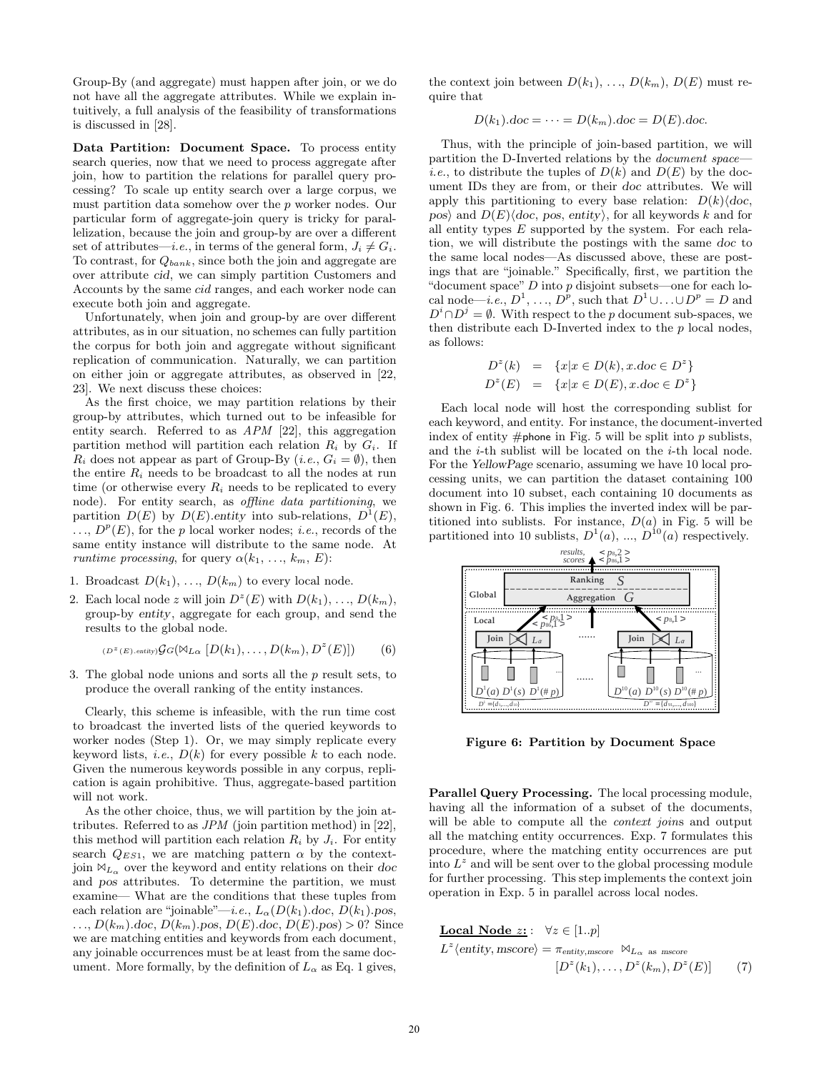Group-By (and aggregate) must happen after join, or we do not have all the aggregate attributes. While we explain intuitively, a full analysis of the feasibility of transformations is discussed in [28].

Data Partition: Document Space. To process entity search queries, now that we need to process aggregate after join, how to partition the relations for parallel query processing? To scale up entity search over a large corpus, we must partition data somehow over the p worker nodes. Our particular form of aggregate-join query is tricky for parallelization, because the join and group-by are over a different set of attributes—*i.e.*, in terms of the general form,  $J_i \neq G_i$ . To contrast, for  $Q_{bank}$ , since both the join and aggregate are over attribute cid, we can simply partition Customers and Accounts by the same cid ranges, and each worker node can execute both join and aggregate.

Unfortunately, when join and group-by are over different attributes, as in our situation, no schemes can fully partition the corpus for both join and aggregate without significant replication of communication. Naturally, we can partition on either join or aggregate attributes, as observed in [22, 23]. We next discuss these choices:

As the first choice, we may partition relations by their group-by attributes, which turned out to be infeasible for entity search. Referred to as APM [22], this aggregation partition method will partition each relation  $R_i$  by  $G_i$ . If  $R_i$  does not appear as part of Group-By  $(i.e., G_i = \emptyset)$ , then the entire  $R_i$  needs to be broadcast to all the nodes at run time (or otherwise every  $R_i$  needs to be replicated to every node). For entity search, as offline data partitioning, we partition  $D(E)$  by  $D(E)$ . entity into sub-relations,  $D^1(E)$ ,  $\ldots, D^p(E)$ , for the p local worker nodes; *i.e.*, records of the same entity instance will distribute to the same node. At *runtime processing*, for query  $\alpha(k_1, \ldots, k_m, E)$ :

- 1. Broadcast  $D(k_1), \ldots, D(k_m)$  to every local node.
- 2. Each local node z will join  $D^z(E)$  with  $D(k_1), \ldots, D(k_m)$ , group-by entity, aggregate for each group, and send the results to the global node.

$$
(\mathcal{D}^z(E).\text{entity})\mathcal{G}G(\mathbb{M}_{L\alpha}\left[D(k_1),\ldots,D(k_m),D^z(E)\right])\tag{6}
$$

3. The global node unions and sorts all the p result sets, to produce the overall ranking of the entity instances.

Clearly, this scheme is infeasible, with the run time cost to broadcast the inverted lists of the queried keywords to worker nodes (Step 1). Or, we may simply replicate every keyword lists, *i.e.*,  $D(k)$  for every possible k to each node. Given the numerous keywords possible in any corpus, replication is again prohibitive. Thus, aggregate-based partition will not work.

As the other choice, thus, we will partition by the join attributes. Referred to as JPM (join partition method) in [22], this method will partition each relation  $R_i$  by  $J_i$ . For entity search  $Q_{ES1}$ , we are matching pattern  $\alpha$  by the contextjoin  $\mathbb{M}_{L_{\infty}}$  over the keyword and entity relations on their doc and pos attributes. To determine the partition, we must examine— What are the conditions that these tuples from each relation are "joinable"—*i.e.*,  $L_{\alpha}(D(k_1)$ .doc,  $D(k_1)$ .pos,  $\ldots, D(k_m)$ .doc,  $D(k_m)$ .pos,  $D(E)$ .doc,  $D(E)$ .pos) > 0? Since we are matching entities and keywords from each document, any joinable occurrences must be at least from the same document. More formally, by the definition of  $L_{\alpha}$  as Eq. 1 gives,

the context join between  $D(k_1), \ldots, D(k_m), D(E)$  must require that

$$
D(k_1).doc = \cdots = D(k_m).doc = D(E).doc.
$$

Thus, with the principle of join-based partition, we will partition the D-Inverted relations by the document space *i.e.*, to distribute the tuples of  $D(k)$  and  $D(E)$  by the document IDs they are from, or their doc attributes. We will apply this partitioning to every base relation:  $D(k)/doc$ , pos) and  $D(E)\langle doc, pos, entity \rangle$ , for all keywords k and for all entity types  $E$  supported by the system. For each relation, we will distribute the postings with the same doc to the same local nodes—As discussed above, these are postings that are "joinable." Specifically, first, we partition the "document space"  $D$  into  $p$  disjoint subsets—one for each local node—*i.e.*,  $D^1$ , ...,  $D^p$ , such that  $D^1 \cup ... \cup D^p = D$  and  $D^{i} \cap D^{j} = \emptyset$ . With respect to the p document sub-spaces, we then distribute each D-Inverted index to the  $p$  local nodes, as follows:

$$
D^{z}(k) = \{x | x \in D(k), x \ldotp \text{doc} \in D^{z}\}
$$
  

$$
D^{z}(E) = \{x | x \in D(E), x \ldotp \text{doc} \in D^{z}\}
$$

Each local node will host the corresponding sublist for each keyword, and entity. For instance, the document-inverted index of entity  $#$ phone in Fig. 5 will be split into p sublists, and the i-th sublist will be located on the i-th local node. For the YellowPage scenario, assuming we have 10 local processing units, we can partition the dataset containing 100 document into 10 subset, each containing 10 documents as shown in Fig. 6. This implies the inverted index will be partitioned into sublists. For instance,  $D(a)$  in Fig. 5 will be partitioned into 10 sublists,  $D^1(a)$ , ...,  $D^{10}(a)$  respectively.



Figure 6: Partition by Document Space

Parallel Query Processing. The local processing module, having all the information of a subset of the documents, will be able to compute all the *context joins* and output all the matching entity occurrences. Exp. 7 formulates this procedure, where the matching entity occurrences are put into  $L^z$  and will be sent over to the global processing module for further processing. This step implements the context join operation in Exp. 5 in parallel across local nodes.

**Local Node** *z*: 
$$
\forall z \in [1..p]
$$
  

$$
L^z \langle \text{entity, mscore} \rangle = \pi_{\text{entity, mscore}} \bowtie_{L_{\alpha} \text{ as } \text{mscore}}
$$

$$
[D^z(k_1), \dots, D^z(k_m), D^z(E)]
$$
(7)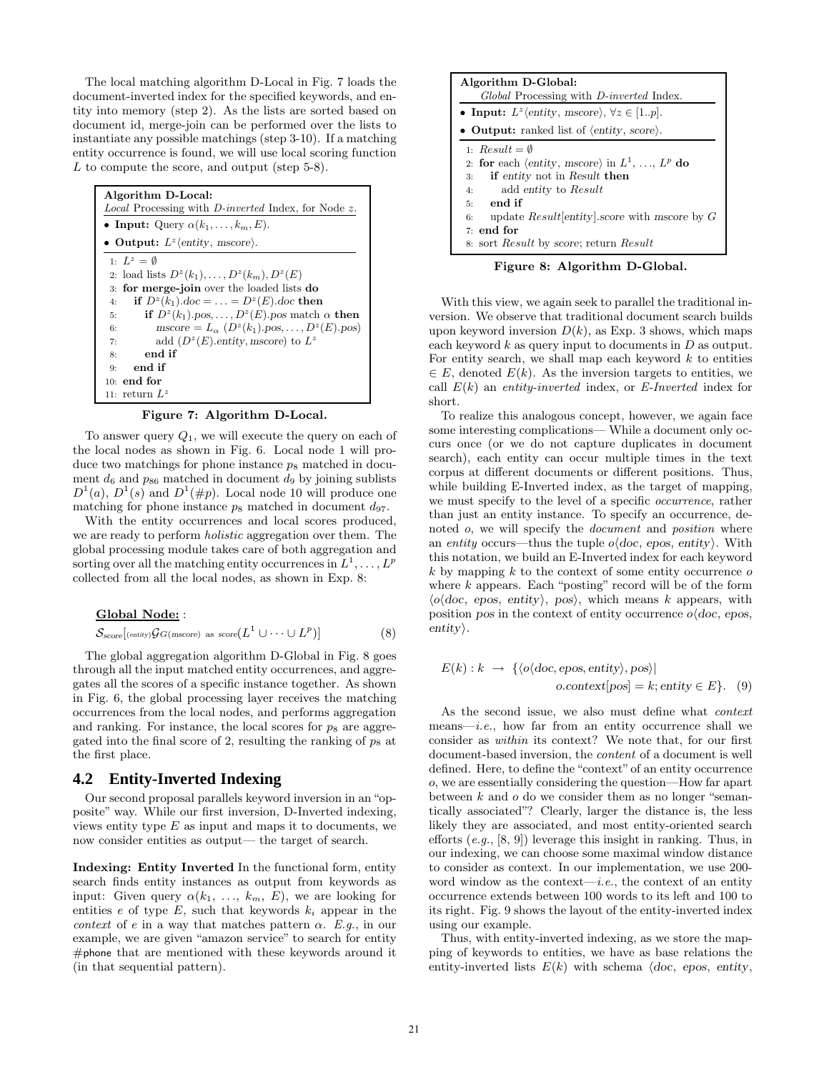The local matching algorithm D-Local in Fig. 7 loads the document-inverted index for the specified keywords, and entity into memory (step 2). As the lists are sorted based on document id, merge-join can be performed over the lists to instantiate any possible matchings (step 3-10). If a matching entity occurrence is found, we will use local scoring function L to compute the score, and output (step 5-8).

| Algorithm D-Local:<br><i>Local</i> Processing with <i>D-inverted</i> Index, for Node z.            |  |  |  |  |  |
|----------------------------------------------------------------------------------------------------|--|--|--|--|--|
| • Input: Query $\alpha(k_1,\ldots,k_m,E)$ .                                                        |  |  |  |  |  |
| • Output: $L^z$ (entity, mscore).                                                                  |  |  |  |  |  |
| $1 \cdot L^z = \emptyset$                                                                          |  |  |  |  |  |
| 2: load lists $D^{z}(k_1), \ldots, D^{z}(k_m), D^{z}(E)$                                           |  |  |  |  |  |
| 3: for merge-join over the loaded lists do                                                         |  |  |  |  |  |
| if $D^z(k_1)$ .doc =  = $D^z(E)$ .doc then<br>4:                                                   |  |  |  |  |  |
| if $D^z(k_1)$ pos, , $D^z(E)$ pos match $\alpha$ then<br>5:                                        |  |  |  |  |  |
| $\text{mscore} = L_{\alpha} \left( D^z(k_1), \text{pos}, \ldots, D^z(E), \text{pos} \right)$<br>6: |  |  |  |  |  |
| add $(D^z(E)$ entity, mscore) to $L^z$<br>7:                                                       |  |  |  |  |  |
| end if<br>8:                                                                                       |  |  |  |  |  |
| end if<br>9:                                                                                       |  |  |  |  |  |
| $10:$ end for                                                                                      |  |  |  |  |  |
| 11: return $L^z$                                                                                   |  |  |  |  |  |

Figure 7: Algorithm D-Local.

To answer query  $Q_1$ , we will execute the query on each of the local nodes as shown in Fig. 6. Local node 1 will produce two matchings for phone instance  $p_8$  matched in document  $d_6$  and  $p_{86}$  matched in document  $d_9$  by joining sublists  $D^1(a)$ ,  $D^1(s)$  and  $D^1(\#p)$ . Local node 10 will produce one matching for phone instance  $p_8$  matched in document  $d_{97}$ .

With the entity occurrences and local scores produced, we are ready to perform holistic aggregation over them. The global processing module takes care of both aggregation and sorting over all the matching entity occurrences in  $L^1, \ldots, L^p$ collected from all the local nodes, as shown in Exp. 8:

#### Global Node: :

$$
\mathcal{S}_{score}[(\text{entity})\mathcal{G}G(\text{mscore}) \text{ as } \text{score}(L^1 \cup \cdots \cup L^p)] \tag{8}
$$

The global aggregation algorithm D-Global in Fig. 8 goes through all the input matched entity occurrences, and aggregates all the scores of a specific instance together. As shown in Fig. 6, the global processing layer receives the matching occurrences from the local nodes, and performs aggregation and ranking. For instance, the local scores for  $p_8$  are aggregated into the final score of 2, resulting the ranking of  $p_8$  at the first place.

## **4.2 Entity-Inverted Indexing**

Our second proposal parallels keyword inversion in an "opposite" way. While our first inversion, D-Inverted indexing, views entity type  $E$  as input and maps it to documents, we now consider entities as output— the target of search.

Indexing: Entity Inverted In the functional form, entity search finds entity instances as output from keywords as input: Given query  $\alpha(k_1, \ldots, k_m, E)$ , we are looking for entities e of type  $E$ , such that keywords  $k_i$  appear in the context of e in a way that matches pattern  $\alpha$ . E.g., in our example, we are given "amazon service" to search for entity #phone that are mentioned with these keywords around it (in that sequential pattern).

| Algorithm D-Global:                                                     |  |  |  |  |
|-------------------------------------------------------------------------|--|--|--|--|
| Global Processing with <i>D-inverted</i> Index.                         |  |  |  |  |
| • Input: $L^z$ (entity, mscore), $\forall z \in [1p]$ .                 |  |  |  |  |
| • Output: ranked list of $\langle$ entity, score $\rangle$ .            |  |  |  |  |
| 1: $Result = \emptyset$                                                 |  |  |  |  |
| 2: for each $\langle$ entity, mscore $\rangle$ in $L^1, \ldots, L^p$ do |  |  |  |  |
| <b>if</b> entity not in Result then<br>3:                               |  |  |  |  |
| add entity to Result<br>4:                                              |  |  |  |  |
| end if<br>5:                                                            |  |  |  |  |
| update $Result[entity].score$ with mscore by $G$<br>6:                  |  |  |  |  |
| $7:$ end for                                                            |  |  |  |  |
| 8: sort <i>Result</i> by score; return <i>Result</i>                    |  |  |  |  |

Figure 8: Algorithm D-Global.

With this view, we again seek to parallel the traditional inversion. We observe that traditional document search builds upon keyword inversion  $D(k)$ , as Exp. 3 shows, which maps each keyword  $k$  as query input to documents in  $D$  as output. For entity search, we shall map each keyword  $k$  to entities  $\in E$ , denoted  $E(k)$ . As the inversion targets to entities, we call  $E(k)$  an entity-inverted index, or E-Inverted index for short.

To realize this analogous concept, however, we again face some interesting complications— While a document only occurs once (or we do not capture duplicates in document search), each entity can occur multiple times in the text corpus at different documents or different positions. Thus, while building E-Inverted index, as the target of mapping, we must specify to the level of a specific occurrence, rather than just an entity instance. To specify an occurrence, denoted o, we will specify the *document* and *position* where an entity occurs—thus the tuple  $o(doc, epos, entity)$ . With this notation, we build an E-Inverted index for each keyword  $k$  by mapping  $k$  to the context of some entity occurrence  $o$ where  $k$  appears. Each "posting" record will be of the form  $\langle o \rangle \langle do \rangle$ , epos, entity, pos, which means k appears, with position pos in the context of entity occurrence  $o\langle doc, epos,$  $entity$ .

$$
E(k): k \to \{ \langle o \langle doc, epos, entity \rangle, pos \rangle |
$$
  
ocontext[pos] = k; entity  $\in E$ . (9)

As the second issue, we also must define what context means—*i.e.*, how far from an entity occurrence shall we consider as within its context? We note that, for our first document-based inversion, the content of a document is well defined. Here, to define the "context" of an entity occurrence o, we are essentially considering the question—How far apart between  $k$  and  $o$  do we consider them as no longer "semantically associated"? Clearly, larger the distance is, the less likely they are associated, and most entity-oriented search efforts (e.g., [8, 9]) leverage this insight in ranking. Thus, in our indexing, we can choose some maximal window distance to consider as context. In our implementation, we use 200 word window as the context—i.e., the context of an entity occurrence extends between 100 words to its left and 100 to its right. Fig. 9 shows the layout of the entity-inverted index using our example.

Thus, with entity-inverted indexing, as we store the mapping of keywords to entities, we have as base relations the entity-inverted lists  $E(k)$  with schema  $\langle doc, epos, entity, \rangle$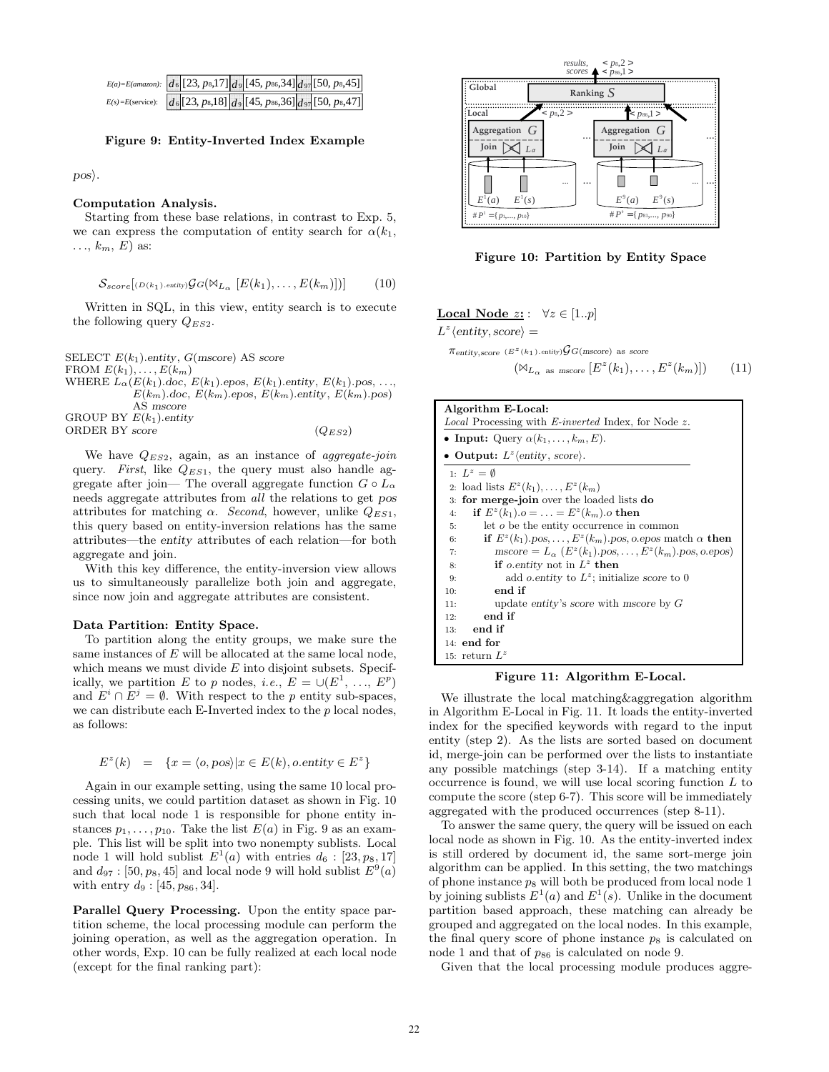| $E(a) = E(amazon):$ $d_6$ [23, ps, 17] $d_9$ [45, ps6, 34] $d_{97}$ [50, ps, 45]           |  |  |  |
|--------------------------------------------------------------------------------------------|--|--|--|
| $E(s) = E(\text{service}):$ $d_6[23, p_8, 18]$ $d_9[45, p_{86}, 36]$ $d_{97}[50, p_8, 47]$ |  |  |  |

#### Figure 9: Entity-Inverted Index Example

 $pos\rangle$ .

## Computation Analysis.

Starting from these base relations, in contrast to Exp. 5, we can express the computation of entity search for  $\alpha(k_1,$  $\ldots$ ,  $k_m$ ,  $E$ ) as:

$$
\mathcal{S}_{score}[(D(k_1)\ldots\text{entity})\mathcal{G}G(\mathbb{M}_{L_{\alpha}}[E(k_1),\ldots,E(k_m)])] \qquad (10)
$$

Written in SQL, in this view, entity search is to execute the following query  $Q_{ES2}$ .

SELECT  $E(k_1)$ .entity,  $G$ (mscore) AS score FROM  $E(k_1), \ldots, E(k_m)$ WHERE  $L_{\alpha}(E(k_1) \cdot doc, E(k_1) \cdot epos, E(k_1) \cdot entity, E(k_1) \cdot pos, ...,$  $E(k_m)$ .doc,  $E(k_m)$ .epos,  $E(k_m)$ .entity,  $E(k_m)$ .pos) AS mscore GROUP BY  $E(k_1)$ .entity ORDER BY score  $(Q_{ES2})$ 

We have  $Q_{ES2}$ , again, as an instance of *aggregate-join* query. First, like  $Q_{ES1}$ , the query must also handle aggregate after join— The overall aggregate function  $G \circ L_{\alpha}$ needs aggregate attributes from all the relations to get pos attributes for matching  $\alpha$ . Second, however, unlike  $Q_{ES1}$ , this query based on entity-inversion relations has the same attributes—the entity attributes of each relation—for both aggregate and join.

With this key difference, the entity-inversion view allows us to simultaneously parallelize both join and aggregate, since now join and aggregate attributes are consistent.

## Data Partition: Entity Space.

To partition along the entity groups, we make sure the same instances of  $E$  will be allocated at the same local node, which means we must divide  $E$  into disjoint subsets. Specifically, we partition E to p nodes, i.e.,  $E = \cup (E^1, \ldots, E^p)$ and  $E^i \cap E^j = \emptyset$ . With respect to the p entity sub-spaces, we can distribute each E-Inverted index to the  $p$  local nodes, as follows:

$$
E^{z}(k) = \{x = \langle o, pos \rangle | x \in E(k), o. entity \in E^{z} \}
$$

Again in our example setting, using the same 10 local processing units, we could partition dataset as shown in Fig. 10 such that local node 1 is responsible for phone entity instances  $p_1, \ldots, p_{10}$ . Take the list  $E(a)$  in Fig. 9 as an example. This list will be split into two nonempty sublists. Local node 1 will hold sublist  $E^1(a)$  with entries  $d_6: [23, p_8, 17]$ and  $d_{97}$ : [50,  $p_8$ , 45] and local node 9 will hold sublist  $E^9(a)$ with entry  $d_9$  : [45,  $p_{86}$ , 34].

Parallel Query Processing. Upon the entity space partition scheme, the local processing module can perform the joining operation, as well as the aggregation operation. In other words, Exp. 10 can be fully realized at each local node (except for the final ranking part):



Figure 10: Partition by Entity Space

#### Local Node  $z: \forall z \in [1..p]$

 $L^z$  (entity, score) =

 $\pi_{\text{entity, score}}$  ( $E^z(k_1)$ .entity) $\mathcal{G}G(\text{mscore})$  as score

$$
(\mathbb{M}_{L_{\alpha}} \text{ as } \text{mscore } [E^{z}(k_1), \dots, E^{z}(k_m)]) \qquad (11)
$$

| Algorithm E-Local:<br><i>Local</i> Processing with <i>E-inverted</i> Index, for Node z.                                      |  |  |  |  |
|------------------------------------------------------------------------------------------------------------------------------|--|--|--|--|
| • Input: Query $\alpha(k_1,\ldots,k_m,E)$ .                                                                                  |  |  |  |  |
|                                                                                                                              |  |  |  |  |
| • Output: $L^z$ (entity, score).                                                                                             |  |  |  |  |
| 1. $L^z = \emptyset$                                                                                                         |  |  |  |  |
| 2: load lists $E^z(k_1), \ldots, E^z(k_m)$                                                                                   |  |  |  |  |
| for merge-join over the loaded lists do<br>3:                                                                                |  |  |  |  |
| if $E^{z}(k_1)$ . $o = \ldots = E^{z}(k_m)$ .o then<br>4:                                                                    |  |  |  |  |
| let <i>o</i> be the entity occurrence in common<br>5:                                                                        |  |  |  |  |
| if $E^z(k_1)$ pos, , $E^z(k_m)$ pos, o epos match $\alpha$ then<br>6:                                                        |  |  |  |  |
| $\text{mscore} = L_{\alpha} (E^z(k_1) \cdot \text{pos}, \dots, E^z(k_m) \cdot \text{pos}, \text{o} \cdot \text{epos})$<br>7: |  |  |  |  |
| if <i>o</i> entity not in $L^z$ then<br>8:                                                                                   |  |  |  |  |
| add <i>o</i> entity to $L^z$ ; initialize score to 0<br>9:                                                                   |  |  |  |  |
| end if<br>10:                                                                                                                |  |  |  |  |
| update entity's score with mscore by $G$<br>11:                                                                              |  |  |  |  |
| end if<br>12:                                                                                                                |  |  |  |  |
| end if<br>13:                                                                                                                |  |  |  |  |
| $14:$ end for                                                                                                                |  |  |  |  |
| 15: return $L^z$                                                                                                             |  |  |  |  |

Figure 11: Algorithm E-Local.

We illustrate the local matching&aggregation algorithm in Algorithm E-Local in Fig. 11. It loads the entity-inverted index for the specified keywords with regard to the input entity (step 2). As the lists are sorted based on document id, merge-join can be performed over the lists to instantiate any possible matchings (step 3-14). If a matching entity occurrence is found, we will use local scoring function L to compute the score (step 6-7). This score will be immediately aggregated with the produced occurrences (step 8-11).

To answer the same query, the query will be issued on each local node as shown in Fig. 10. As the entity-inverted index is still ordered by document id, the same sort-merge join algorithm can be applied. In this setting, the two matchings of phone instance  $p_8$  will both be produced from local node 1 by joining sublists  $E^1(a)$  and  $E^1(s)$ . Unlike in the document partition based approach, these matching can already be grouped and aggregated on the local nodes. In this example, the final query score of phone instance  $p_8$  is calculated on node 1 and that of  $p_{86}$  is calculated on node 9.

Given that the local processing module produces aggre-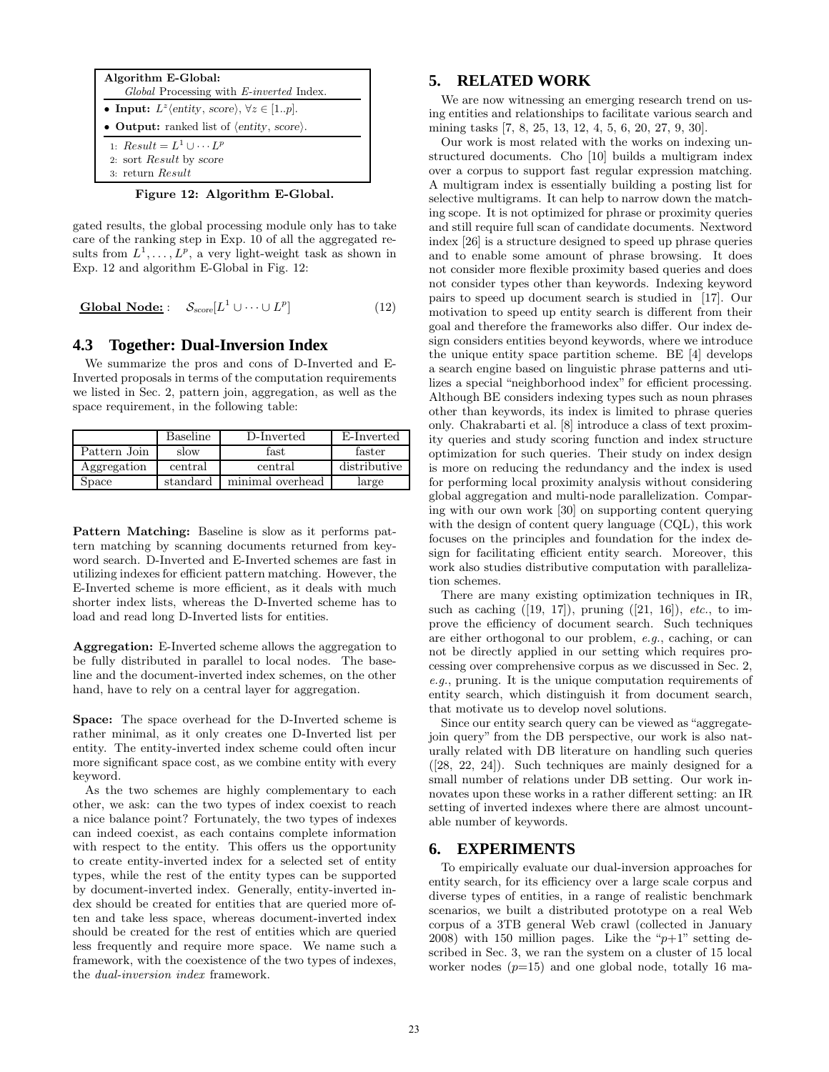

Figure 12: Algorithm E-Global.

gated results, the global processing module only has to take care of the ranking step in Exp. 10 of all the aggregated results from  $L^1, \ldots, L^p$ , a very light-weight task as shown in Exp. 12 and algorithm E-Global in Fig. 12:

**Global Node:** 
$$
S_{score}[L^1 \cup \cdots \cup L^p]
$$
 (12)

## **4.3 Together: Dual-Inversion Index**

We summarize the pros and cons of D-Inverted and E-Inverted proposals in terms of the computation requirements we listed in Sec. 2, pattern join, aggregation, as well as the space requirement, in the following table:

|              | Baseline | D-Inverted       | E-Inverted   |
|--------------|----------|------------------|--------------|
| Pattern Join | slow     | fast             | faster       |
| Aggregation  | central  | central          | distributive |
| Space        | standard | minimal overhead | large        |

Pattern Matching: Baseline is slow as it performs pattern matching by scanning documents returned from keyword search. D-Inverted and E-Inverted schemes are fast in utilizing indexes for efficient pattern matching. However, the E-Inverted scheme is more efficient, as it deals with much shorter index lists, whereas the D-Inverted scheme has to load and read long D-Inverted lists for entities.

Aggregation: E-Inverted scheme allows the aggregation to be fully distributed in parallel to local nodes. The baseline and the document-inverted index schemes, on the other hand, have to rely on a central layer for aggregation.

Space: The space overhead for the D-Inverted scheme is rather minimal, as it only creates one D-Inverted list per entity. The entity-inverted index scheme could often incur more significant space cost, as we combine entity with every keyword.

As the two schemes are highly complementary to each other, we ask: can the two types of index coexist to reach a nice balance point? Fortunately, the two types of indexes can indeed coexist, as each contains complete information with respect to the entity. This offers us the opportunity to create entity-inverted index for a selected set of entity types, while the rest of the entity types can be supported by document-inverted index. Generally, entity-inverted index should be created for entities that are queried more often and take less space, whereas document-inverted index should be created for the rest of entities which are queried less frequently and require more space. We name such a framework, with the coexistence of the two types of indexes, the dual-inversion index framework.

## **5. RELATED WORK**

We are now witnessing an emerging research trend on using entities and relationships to facilitate various search and mining tasks [7, 8, 25, 13, 12, 4, 5, 6, 20, 27, 9, 30].

Our work is most related with the works on indexing unstructured documents. Cho [10] builds a multigram index over a corpus to support fast regular expression matching. A multigram index is essentially building a posting list for selective multigrams. It can help to narrow down the matching scope. It is not optimized for phrase or proximity queries and still require full scan of candidate documents. Nextword index [26] is a structure designed to speed up phrase queries and to enable some amount of phrase browsing. It does not consider more flexible proximity based queries and does not consider types other than keywords. Indexing keyword pairs to speed up document search is studied in [17]. Our motivation to speed up entity search is different from their goal and therefore the frameworks also differ. Our index design considers entities beyond keywords, where we introduce the unique entity space partition scheme. BE [4] develops a search engine based on linguistic phrase patterns and utilizes a special "neighborhood index" for efficient processing. Although BE considers indexing types such as noun phrases other than keywords, its index is limited to phrase queries only. Chakrabarti et al. [8] introduce a class of text proximity queries and study scoring function and index structure optimization for such queries. Their study on index design is more on reducing the redundancy and the index is used for performing local proximity analysis without considering global aggregation and multi-node parallelization. Comparing with our own work [30] on supporting content querying with the design of content query language (CQL), this work focuses on the principles and foundation for the index design for facilitating efficient entity search. Moreover, this work also studies distributive computation with parallelization schemes.

There are many existing optimization techniques in IR, such as caching  $([19, 17])$ , pruning  $([21, 16])$ , etc., to improve the efficiency of document search. Such techniques are either orthogonal to our problem, e.g., caching, or can not be directly applied in our setting which requires processing over comprehensive corpus as we discussed in Sec. 2, e.g., pruning. It is the unique computation requirements of entity search, which distinguish it from document search, that motivate us to develop novel solutions.

Since our entity search query can be viewed as "aggregatejoin query" from the DB perspective, our work is also naturally related with DB literature on handling such queries ([28, 22, 24]). Such techniques are mainly designed for a small number of relations under DB setting. Our work innovates upon these works in a rather different setting: an IR setting of inverted indexes where there are almost uncountable number of keywords.

# **6. EXPERIMENTS**

To empirically evaluate our dual-inversion approaches for entity search, for its efficiency over a large scale corpus and diverse types of entities, in a range of realistic benchmark scenarios, we built a distributed prototype on a real Web corpus of a 3TB general Web crawl (collected in January 2008) with 150 million pages. Like the " $p+1$ " setting described in Sec. 3, we ran the system on a cluster of 15 local worker nodes  $(p=15)$  and one global node, totally 16 ma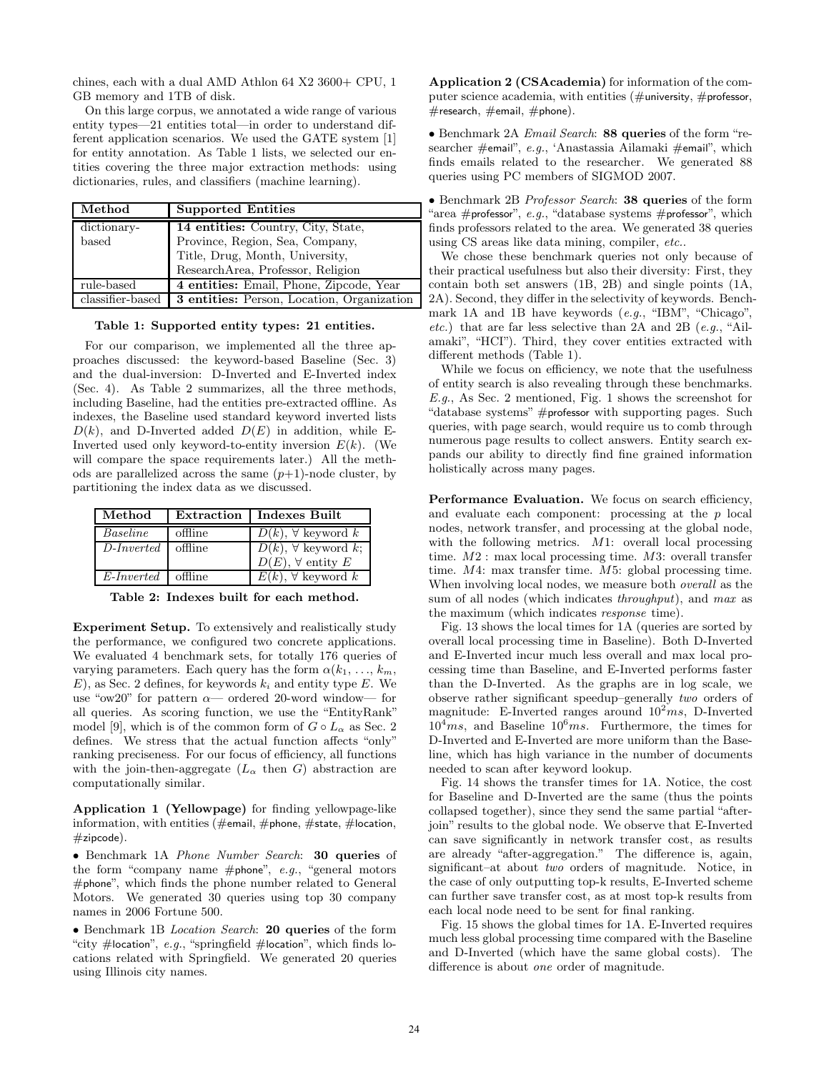chines, each with a dual AMD Athlon 64 X2 3600+ CPU, 1 GB memory and 1TB of disk.

On this large corpus, we annotated a wide range of various entity types—21 entities total—in order to understand different application scenarios. We used the GATE system [1] for entity annotation. As Table 1 lists, we selected our entities covering the three major extraction methods: using dictionaries, rules, and classifiers (machine learning).

| Method           | <b>Supported Entities</b>                         |
|------------------|---------------------------------------------------|
| dictionary-      | 14 entities: Country, City, State,                |
| based            | Province, Region, Sea, Company,                   |
|                  | Title, Drug, Month, University,                   |
|                  | ResearchArea, Professor, Religion                 |
| rule-based       | 4 entities: Email, Phone, Zipcode, Year           |
| classifier-based | <b>3</b> entities: Person, Location, Organization |

Table 1: Supported entity types: 21 entities.

For our comparison, we implemented all the three approaches discussed: the keyword-based Baseline (Sec. 3) and the dual-inversion: D-Inverted and E-Inverted index (Sec. 4). As Table 2 summarizes, all the three methods, including Baseline, had the entities pre-extracted offline. As indexes, the Baseline used standard keyword inverted lists  $D(k)$ , and D-Inverted added  $D(E)$  in addition, while E-Inverted used only keyword-to-entity inversion  $E(k)$ . (We will compare the space requirements later.) All the methods are parallelized across the same  $(p+1)$ -node cluster, by partitioning the index data as we discussed.

| Method              |         | <b>Extraction</b>   Indexes Built                            |
|---------------------|---------|--------------------------------------------------------------|
| Baseline            | offline | $D(k)$ , $\forall$ keyword k                                 |
| $D\text{-}Inverted$ | offline | $D(k)$ , $\forall$ keyword k;<br>$D(E)$ , $\forall$ entity E |
|                     |         |                                                              |
| $E$ -Inverted       | offline | $E(k)$ , $\forall$ keyword k                                 |

Table 2: Indexes built for each method.

Experiment Setup. To extensively and realistically study the performance, we configured two concrete applications. We evaluated 4 benchmark sets, for totally 176 queries of varying parameters. Each query has the form  $\alpha(k_1, \ldots, k_m)$ ,  $E$ , as Sec. 2 defines, for keywords  $k_i$  and entity type E. We use "ow20" for pattern  $\alpha$ — ordered 20-word window— for all queries. As scoring function, we use the "EntityRank" model [9], which is of the common form of  $G \circ L_{\alpha}$  as Sec. 2 defines. We stress that the actual function affects "only" ranking preciseness. For our focus of efficiency, all functions with the join-then-aggregate  $(L_{\alpha} \text{ then } G)$  abstraction are computationally similar.

Application 1 (Yellowpage) for finding yellowpage-like information, with entities (#email, #phone, #state, #location,  $#zipcode).$ 

• Benchmark 1A Phone Number Search: 30 queries of the form "company name #phone",  $e.g.,$  "general motors" #phone", which finds the phone number related to General Motors. We generated 30 queries using top 30 company names in 2006 Fortune 500.

• Benchmark 1B Location Search: 20 queries of the form "city #location", e.g., "springfield #location", which finds locations related with Springfield. We generated 20 queries using Illinois city names.

Application 2 (CSAcademia) for information of the computer science academia, with entities ( $\#$ university,  $\#$ professor,  $#$ research,  $#$ email,  $#$ phone).

• Benchmark 2A Email Search: 88 queries of the form "researcher #email", e.g., 'Anastassia Ailamaki #email", which finds emails related to the researcher. We generated 88 queries using PC members of SIGMOD 2007.

• Benchmark 2B Professor Search: 38 queries of the form "area #professor", e.g., "database systems #professor", which finds professors related to the area. We generated 38 queries using CS areas like data mining, compiler, etc..

We chose these benchmark queries not only because of their practical usefulness but also their diversity: First, they contain both set answers (1B, 2B) and single points (1A, 2A). Second, they differ in the selectivity of keywords. Benchmark 1A and 1B have keywords (e.g., "IBM", "Chicago", *etc.*) that are far less selective than 2A and 2B  $(e.g., "Ail$ amaki", "HCI"). Third, they cover entities extracted with different methods (Table 1).

While we focus on efficiency, we note that the usefulness of entity search is also revealing through these benchmarks. E.g., As Sec. 2 mentioned, Fig. 1 shows the screenshot for "database systems" #professor with supporting pages. Such queries, with page search, would require us to comb through numerous page results to collect answers. Entity search expands our ability to directly find fine grained information holistically across many pages.

Performance Evaluation. We focus on search efficiency, and evaluate each component: processing at the p local nodes, network transfer, and processing at the global node, with the following metrics. M1: overall local processing time. M2 : max local processing time. M3: overall transfer time. M4: max transfer time. M5: global processing time. When involving local nodes, we measure both overall as the sum of all nodes (which indicates *throughput*), and max as the maximum (which indicates response time).

Fig. 13 shows the local times for 1A (queries are sorted by overall local processing time in Baseline). Both D-Inverted and E-Inverted incur much less overall and max local processing time than Baseline, and E-Inverted performs faster than the D-Inverted. As the graphs are in log scale, we observe rather significant speedup–generally two orders of magnitude: E-Inverted ranges around  $10^2 ms$ , D-Inverted  $10^4$ ms, and Baseline  $10^6$ ms. Furthermore, the times for D-Inverted and E-Inverted are more uniform than the Baseline, which has high variance in the number of documents needed to scan after keyword lookup.

Fig. 14 shows the transfer times for 1A. Notice, the cost for Baseline and D-Inverted are the same (thus the points collapsed together), since they send the same partial "afterjoin" results to the global node. We observe that E-Inverted can save significantly in network transfer cost, as results are already "after-aggregation." The difference is, again, significant–at about two orders of magnitude. Notice, in the case of only outputting top-k results, E-Inverted scheme can further save transfer cost, as at most top-k results from each local node need to be sent for final ranking.

Fig. 15 shows the global times for 1A. E-Inverted requires much less global processing time compared with the Baseline and D-Inverted (which have the same global costs). The difference is about one order of magnitude.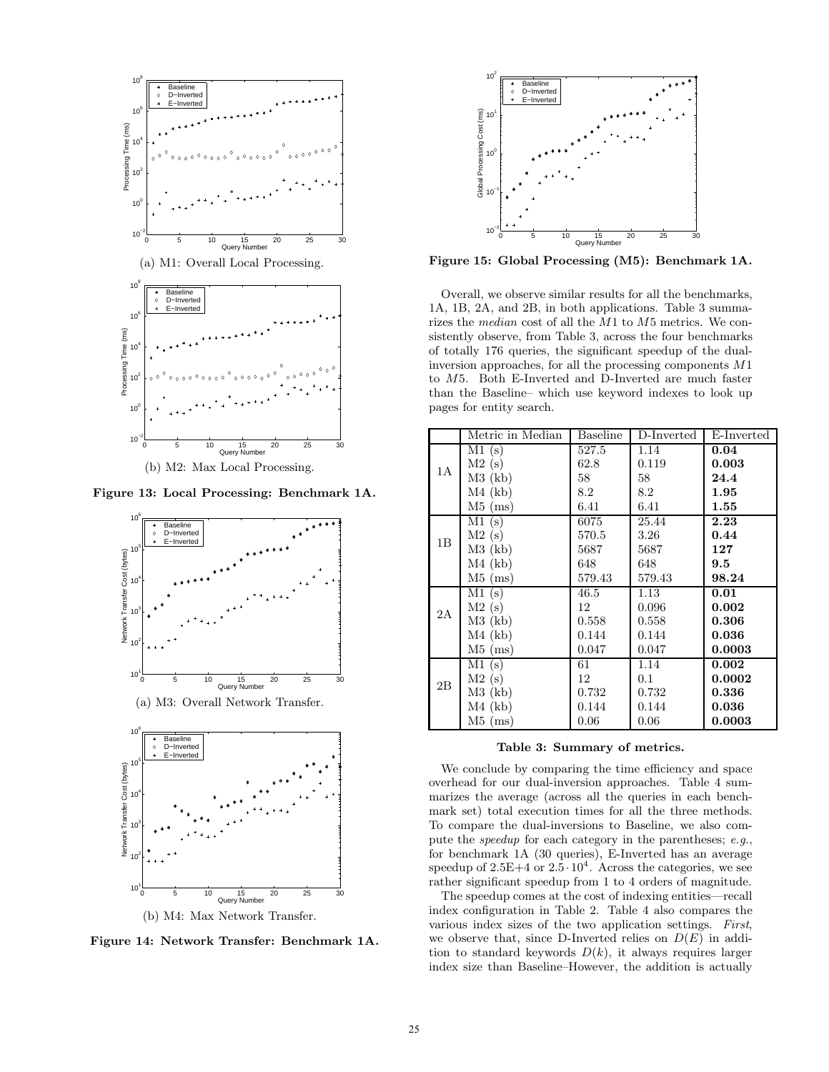

Figure 13: Local Processing: Benchmark 1A.





Figure 14: Network Transfer: Benchmark 1A.



Figure 15: Global Processing (M5): Benchmark 1A.

Overall, we observe similar results for all the benchmarks, 1A, 1B, 2A, and 2B, in both applications. Table 3 summarizes the median cost of all the M1 to M5 metrics. We consistently observe, from Table 3, across the four benchmarks of totally 176 queries, the significant speedup of the dualinversion approaches, for all the processing components M1 to M5. Both E-Inverted and D-Inverted are much faster than the Baseline– which use keyword indexes to look up pages for entity search.

|    | Metric in Median | Baseline | $\overline{D}$ -Inverted | E-Inverted    |
|----|------------------|----------|--------------------------|---------------|
|    | M1(s)            | 527.5    | 1.14                     | 0.04          |
| 1A | M2(s)            | 62.8     | 0.119                    | 0.003         |
|    | $M3$ (kb)        | 58       | 58                       | 24.4          |
|    | $M4$ (kb)        | 8.2      | 8.2                      | 1.95          |
|    | $M5$ (ms)        | 6.41     | 6.41                     | 1.55          |
|    | M1(s)            | 6075     | 25.44                    | 2.23          |
| 1B | M2(s)            | 570.5    | 3.26                     | 0.44          |
|    | $M3$ (kb)        | 5687     | 5687                     | 127           |
|    | $M4$ (kb)        | 648      | 648                      | $9.5^{\circ}$ |
|    | $M5$ (ms)        | 579.43   | 579.43                   | 98.24         |
|    | M1(s)            | 46.5     | 1.13                     | 0.01          |
| 2A | M2(s)            | 12       | 0.096                    | 0.002         |
|    | $M3$ (kb)        | 0.558    | 0.558                    | 0.306         |
|    | $M4$ (kb)        | 0.144    | 0.144                    | 0.036         |
|    | $M5$ (ms)        | 0.047    | 0.047                    | 0.0003        |
|    | M1(s)            | 61       | 1.14                     | 0.002         |
| 2B | M2(s)            | 12       | 0.1                      | 0.0002        |
|    | $M3$ (kb)        | 0.732    | 0.732                    | 0.336         |
|    | $M4$ (kb)        | 0.144    | 0.144                    | 0.036         |
|    | $M5$ (ms)        | 0.06     | 0.06                     | 0.0003        |

#### Table 3: Summary of metrics.

We conclude by comparing the time efficiency and space overhead for our dual-inversion approaches. Table 4 summarizes the average (across all the queries in each benchmark set) total execution times for all the three methods. To compare the dual-inversions to Baseline, we also compute the speedup for each category in the parentheses; e.g., for benchmark 1A (30 queries), E-Inverted has an average speedup of  $2.5E+4$  or  $2.5 \cdot 10^4$ . Across the categories, we see rather significant speedup from 1 to 4 orders of magnitude.

The speedup comes at the cost of indexing entities—recall index configuration in Table 2. Table 4 also compares the various index sizes of the two application settings. First, we observe that, since D-Inverted relies on  $D(E)$  in addition to standard keywords  $D(k)$ , it always requires larger index size than Baseline–However, the addition is actually